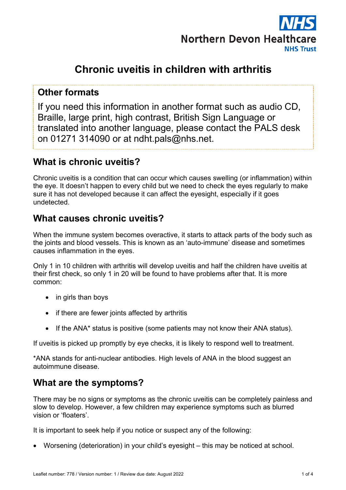

# **Chronic uveitis in children with arthritis**

### **Other formats**

If you need this information in another format such as audio CD, Braille, large print, high contrast, British Sign Language or translated into another language, please contact the PALS desk on 01271 314090 or at ndht.pals@nhs.net.

### **What is chronic uveitis?**

Chronic uveitis is a condition that can occur which causes swelling (or inflammation) within the eye. It doesn't happen to every child but we need to check the eyes regularly to make sure it has not developed because it can affect the eyesight, especially if it goes undetected.

### **What causes chronic uveitis?**

When the immune system becomes overactive, it starts to attack parts of the body such as the joints and blood vessels. This is known as an 'auto-immune' disease and sometimes causes inflammation in the eyes.

Only 1 in 10 children with arthritis will develop uveitis and half the children have uveitis at their first check, so only 1 in 20 will be found to have problems after that. It is more common:

- in girls than boys
- if there are fewer joints affected by arthritis
- If the ANA<sup>\*</sup> status is positive (some patients may not know their ANA status).

If uveitis is picked up promptly by eye checks, it is likely to respond well to treatment.

\*ANA stands for anti-nuclear antibodies. High levels of ANA in the blood suggest an autoimmune disease.

### **What are the symptoms?**

There may be no signs or symptoms as the chronic uveitis can be completely painless and slow to develop. However, a few children may experience symptoms such as blurred vision or 'floaters'.

It is important to seek help if you notice or suspect any of the following:

• Worsening (deterioration) in your child's eyesight – this may be noticed at school.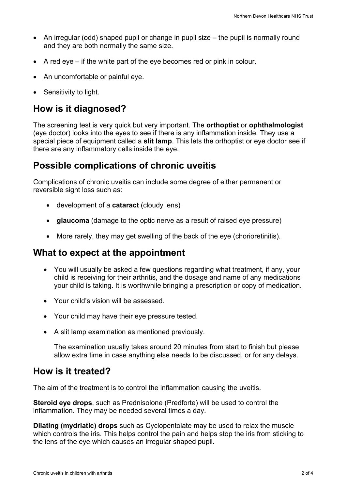- An irregular (odd) shaped pupil or change in pupil size the pupil is normally round and they are both normally the same size.
- A red eye if the white part of the eye becomes red or pink in colour.
- An uncomfortable or painful eye.
- Sensitivity to light.

### **How is it diagnosed?**

The screening test is very quick but very important. The **orthoptist** or **ophthalmologist** (eye doctor) looks into the eyes to see if there is any inflammation inside. They use a special piece of equipment called a **slit lamp**. This lets the orthoptist or eye doctor see if there are any inflammatory cells inside the eye.

### **Possible complications of chronic uveitis**

Complications of chronic uveitis can include some degree of either permanent or reversible sight loss such as:

- development of a **cataract** (cloudy lens)
- **glaucoma** (damage to the optic nerve as a result of raised eve pressure)
- More rarely, they may get swelling of the back of the eye (chorioretinitis).

### **What to expect at the appointment**

- You will usually be asked a few questions regarding what treatment, if any, your child is receiving for their arthritis, and the dosage and name of any medications your child is taking. It is worthwhile bringing a prescription or copy of medication.
- Your child's vision will be assessed.
- Your child may have their eye pressure tested.
- A slit lamp examination as mentioned previously.

The examination usually takes around 20 minutes from start to finish but please allow extra time in case anything else needs to be discussed, or for any delays.

### **How is it treated?**

The aim of the treatment is to control the inflammation causing the uveitis.

**Steroid eye drops**, such as Prednisolone (Predforte) will be used to control the inflammation. They may be needed several times a day.

**Dilating (mydriatic) drops** such as Cyclopentolate may be used to relax the muscle which controls the iris. This helps control the pain and helps stop the iris from sticking to the lens of the eye which causes an irregular shaped pupil.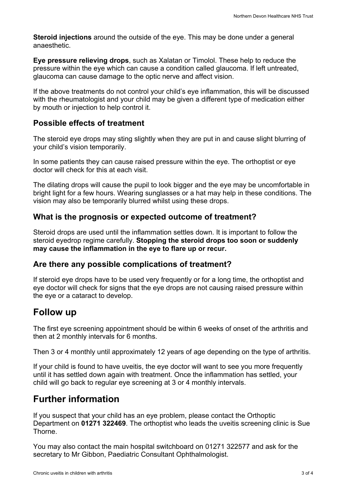**Steroid injections** around the outside of the eye. This may be done under a general anaesthetic.

**Eye pressure relieving drops**, such as Xalatan or Timolol. These help to reduce the pressure within the eye which can cause a condition called glaucoma. If left untreated, glaucoma can cause damage to the optic nerve and affect vision.

If the above treatments do not control your child's eye inflammation, this will be discussed with the rheumatologist and your child may be given a different type of medication either by mouth or injection to help control it.

#### **Possible effects of treatment**

The steroid eye drops may sting slightly when they are put in and cause slight blurring of your child's vision temporarily.

In some patients they can cause raised pressure within the eye. The orthoptist or eye doctor will check for this at each visit.

The dilating drops will cause the pupil to look bigger and the eye may be uncomfortable in bright light for a few hours. Wearing sunglasses or a hat may help in these conditions. The vision may also be temporarily blurred whilst using these drops.

#### **What is the prognosis or expected outcome of treatment?**

Steroid drops are used until the inflammation settles down. It is important to follow the steroid eyedrop regime carefully. **Stopping the steroid drops too soon or suddenly may cause the inflammation in the eye to flare up or recur.**

#### **Are there any possible complications of treatment?**

If steroid eye drops have to be used very frequently or for a long time, the orthoptist and eye doctor will check for signs that the eye drops are not causing raised pressure within the eye or a cataract to develop.

### **Follow up**

The first eye screening appointment should be within 6 weeks of onset of the arthritis and then at 2 monthly intervals for 6 months.

Then 3 or 4 monthly until approximately 12 years of age depending on the type of arthritis.

If your child is found to have uveitis, the eye doctor will want to see you more frequently until it has settled down again with treatment. Once the inflammation has settled, your child will go back to regular eye screening at 3 or 4 monthly intervals.

### **Further information**

If you suspect that your child has an eye problem, please contact the Orthoptic Department on **01271 322469**. The orthoptist who leads the uveitis screening clinic is Sue **Thorne** 

You may also contact the main hospital switchboard on 01271 322577 and ask for the secretary to Mr Gibbon, Paediatric Consultant Ophthalmologist.